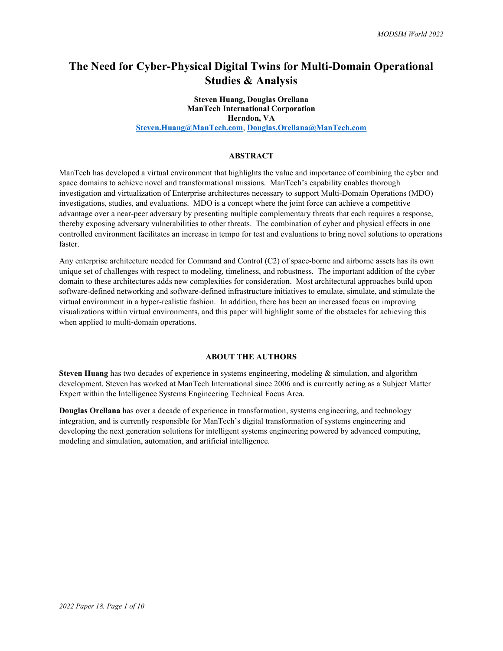# The Need for Cyber-Physical Digital Twins for Multi-Domain Operational Studies & Analysis

# Steven Huang, Douglas Orellana ManTech International Corporation Herndon, VA

Steven.Huang@ManTech.com, Douglas.Orellana@ManTech.com

## **ABSTRACT**

ManTech has developed a virtual environment that highlights the value and importance of combining the cyber and space domains to achieve novel and transformational missions. ManTech's capability enables thorough investigation and virtualization of Enterprise architectures necessary to support Multi-Domain Operations (MDO) investigations, studies, and evaluations. MDO is a concept where the joint force can achieve a competitive advantage over a near-peer adversary by presenting multiple complementary threats that each requires a response, thereby exposing adversary vulnerabilities to other threats. The combination of cyber and physical effects in one controlled environment facilitates an increase in tempo for test and evaluations to bring novel solutions to operations faster.

Any enterprise architecture needed for Command and Control (C2) of space-borne and airborne assets has its own unique set of challenges with respect to modeling, timeliness, and robustness. The important addition of the cyber domain to these architectures adds new complexities for consideration. Most architectural approaches build upon software-defined networking and software-defined infrastructure initiatives to emulate, simulate, and stimulate the virtual environment in a hyper-realistic fashion. In addition, there has been an increased focus on improving visualizations within virtual environments, and this paper will highlight some of the obstacles for achieving this when applied to multi-domain operations.

### ABOUT THE AUTHORS

Steven Huang has two decades of experience in systems engineering, modeling & simulation, and algorithm development. Steven has worked at ManTech International since 2006 and is currently acting as a Subject Matter Expert within the Intelligence Systems Engineering Technical Focus Area.

Douglas Orellana has over a decade of experience in transformation, systems engineering, and technology integration, and is currently responsible for ManTech's digital transformation of systems engineering and developing the next generation solutions for intelligent systems engineering powered by advanced computing, modeling and simulation, automation, and artificial intelligence.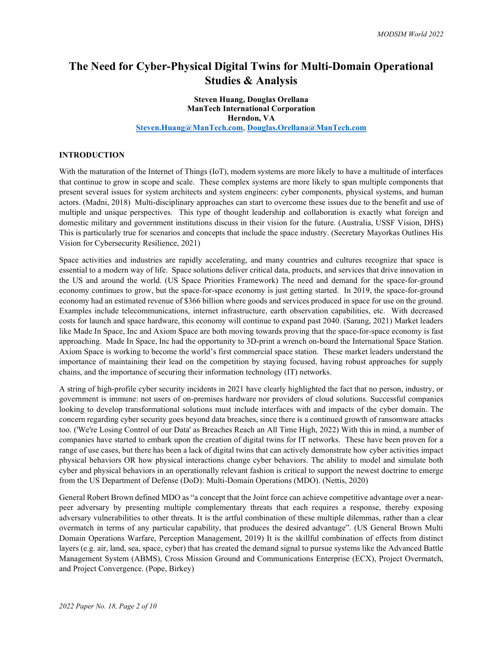# The Need for Cyber-Physical Digital Twins for Multi-Domain Operational Studies & Analysis

# Steven Huang, Douglas Orellana ManTech International Corporation Herndon, VA

Steven.Huang@ManTech.com, Douglas.Orellana@ManTech.com

### INTRODUCTION

With the maturation of the Internet of Things (IoT), modern systems are more likely to have a multitude of interfaces that continue to grow in scope and scale. These complex systems are more likely to span multiple components that present several issues for system architects and system engineers: cyber components, physical systems, and human actors. (Madni, 2018) Multi-disciplinary approaches can start to overcome these issues due to the benefit and use of multiple and unique perspectives. This type of thought leadership and collaboration is exactly what foreign and domestic military and government institutions discuss in their vision for the future. (Australia, USSF Vision, DHS) This is particularly true for scenarios and concepts that include the space industry. (Secretary Mayorkas Outlines His Vision for Cybersecurity Resilience, 2021)

Space activities and industries are rapidly accelerating, and many countries and cultures recognize that space is essential to a modern way of life. Space solutions deliver critical data, products, and services that drive innovation in the US and around the world. (US Space Priorities Framework) The need and demand for the space-for-ground economy continues to grow, but the space-for-space economy is just getting started. In 2019, the space-for-ground economy had an estimated revenue of \$366 billion where goods and services produced in space for use on the ground. Examples include telecommunications, internet infrastructure, earth observation capabilities, etc. With decreased costs for launch and space hardware, this economy will continue to expand past 2040. (Sarang, 2021) Market leaders like Made In Space, Inc and Axiom Space are both moving towards proving that the space-for-space economy is fast approaching. Made In Space, Inc had the opportunity to 3D-print a wrench on-board the International Space Station. Axiom Space is working to become the world's first commercial space station. These market leaders understand the importance of maintaining their lead on the competition by staying focused, having robust approaches for supply chains, and the importance of securing their information technology (IT) networks.

A string of high-profile cyber security incidents in 2021 have clearly highlighted the fact that no person, industry, or government is immune: not users of on-premises hardware nor providers of cloud solutions. Successful companies looking to develop transformational solutions must include interfaces with and impacts of the cyber domain. The concern regarding cyber security goes beyond data breaches, since there is a continued growth of ransomware attacks too. ('We're Losing Control of our Data' as Breaches Reach an All Time High, 2022) With this in mind, a number of companies have started to embark upon the creation of digital twins for IT networks. These have been proven for a range of use cases, but there has been a lack of digital twins that can actively demonstrate how cyber activities impact physical behaviors OR how physical interactions change cyber behaviors. The ability to model and simulate both cyber and physical behaviors in an operationally relevant fashion is critical to support the newest doctrine to emerge from the US Department of Defense (DoD): Multi-Domain Operations (MDO). (Nettis, 2020)

General Robert Brown defined MDO as "a concept that the Joint force can achieve competitive advantage over a nearpeer adversary by presenting multiple complementary threats that each requires a response, thereby exposing adversary vulnerabilities to other threats. It is the artful combination of these multiple dilemmas, rather than a clear overmatch in terms of any particular capability, that produces the desired advantage". (US General Brown Multi Domain Operations Warfare, Perception Management, 2019) It is the skillful combination of effects from distinct layers (e.g. air, land, sea, space, cyber) that has created the demand signal to pursue systems like the Advanced Battle Management System (ABMS), Cross Mission Ground and Communications Enterprise (ECX), Project Overmatch, and Project Convergence. (Pope, Birkey)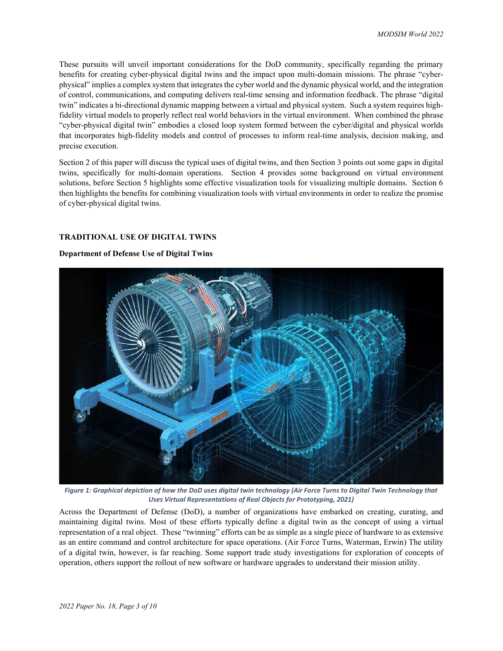These pursuits will unveil important considerations for the DoD community, specifically regarding the primary benefits for creating cyber-physical digital twins and the impact upon multi-domain missions. The phrase "cyberphysical" implies a complex system that integrates the cyber world and the dynamic physical world, and the integration of control, communications, and computing delivers real-time sensing and information feedback. The phrase "digital twin" indicates a bi-directional dynamic mapping between a virtual and physical system. Such a system requires highfidelity virtual models to properly reflect real world behaviors in the virtual environment. When combined the phrase "cyber-physical digital twin" embodies a closed loop system formed between the cyber/digital and physical worlds that incorporates high-fidelity models and control of processes to inform real-time analysis, decision making, and precise execution.

Section 2 of this paper will discuss the typical uses of digital twins, and then Section 3 points out some gaps in digital twins, specifically for multi-domain operations. Section 4 provides some background on virtual environment solutions, before Section 5 highlights some effective visualization tools for visualizing multiple domains. Section 6 then highlights the benefits for combining visualization tools with virtual environments in order to realize the promise of cyber-physical digital twins.

# TRADITIONAL USE OF DIGITAL TWINS

## Department of Defense Use of Digital Twins



Figure 1: Graphical depiction of how the DoD uses digital twin technology (Air Force Turns to Digital Twin Technology that Uses Virtual Representations of Real Objects for Prototyping, 2021)

Across the Department of Defense (DoD), a number of organizations have embarked on creating, curating, and maintaining digital twins. Most of these efforts typically define a digital twin as the concept of using a virtual representation of a real object. These "twinning" efforts can be as simple as a single piece of hardware to as extensive as an entire command and control architecture for space operations. (Air Force Turns, Waterman, Erwin) The utility of a digital twin, however, is far reaching. Some support trade study investigations for exploration of concepts of operation, others support the rollout of new software or hardware upgrades to understand their mission utility.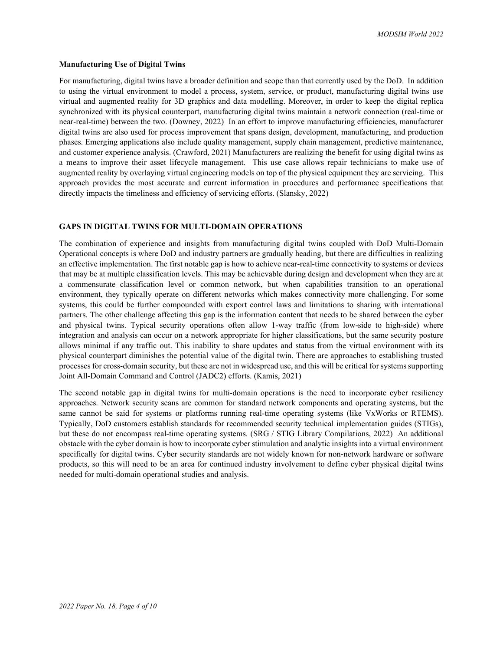#### Manufacturing Use of Digital Twins

For manufacturing, digital twins have a broader definition and scope than that currently used by the DoD. In addition to using the virtual environment to model a process, system, service, or product, manufacturing digital twins use virtual and augmented reality for 3D graphics and data modelling. Moreover, in order to keep the digital replica synchronized with its physical counterpart, manufacturing digital twins maintain a network connection (real-time or near-real-time) between the two. (Downey, 2022) In an effort to improve manufacturing efficiencies, manufacturer digital twins are also used for process improvement that spans design, development, manufacturing, and production phases. Emerging applications also include quality management, supply chain management, predictive maintenance, and customer experience analysis. (Crawford, 2021) Manufacturers are realizing the benefit for using digital twins as a means to improve their asset lifecycle management. This use case allows repair technicians to make use of augmented reality by overlaying virtual engineering models on top of the physical equipment they are servicing. This approach provides the most accurate and current information in procedures and performance specifications that directly impacts the timeliness and efficiency of servicing efforts. (Slansky, 2022)

### GAPS IN DIGITAL TWINS FOR MULTI-DOMAIN OPERATIONS

The combination of experience and insights from manufacturing digital twins coupled with DoD Multi-Domain Operational concepts is where DoD and industry partners are gradually heading, but there are difficulties in realizing an effective implementation. The first notable gap is how to achieve near-real-time connectivity to systems or devices that may be at multiple classification levels. This may be achievable during design and development when they are at a commensurate classification level or common network, but when capabilities transition to an operational environment, they typically operate on different networks which makes connectivity more challenging. For some systems, this could be further compounded with export control laws and limitations to sharing with international partners. The other challenge affecting this gap is the information content that needs to be shared between the cyber and physical twins. Typical security operations often allow 1-way traffic (from low-side to high-side) where integration and analysis can occur on a network appropriate for higher classifications, but the same security posture allows minimal if any traffic out. This inability to share updates and status from the virtual environment with its physical counterpart diminishes the potential value of the digital twin. There are approaches to establishing trusted processes for cross-domain security, but these are not in widespread use, and this will be critical for systems supporting Joint All-Domain Command and Control (JADC2) efforts. (Kamis, 2021)

The second notable gap in digital twins for multi-domain operations is the need to incorporate cyber resiliency approaches. Network security scans are common for standard network components and operating systems, but the same cannot be said for systems or platforms running real-time operating systems (like VxWorks or RTEMS). Typically, DoD customers establish standards for recommended security technical implementation guides (STIGs), but these do not encompass real-time operating systems. (SRG / STIG Library Compilations, 2022) An additional obstacle with the cyber domain is how to incorporate cyber stimulation and analytic insights into a virtual environment specifically for digital twins. Cyber security standards are not widely known for non-network hardware or software products, so this will need to be an area for continued industry involvement to define cyber physical digital twins needed for multi-domain operational studies and analysis.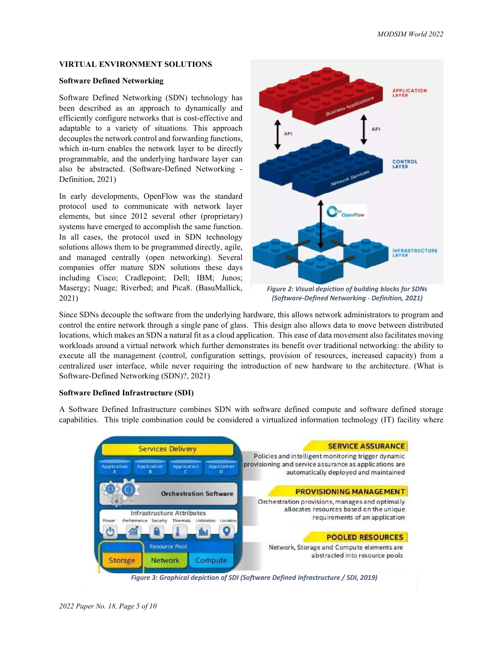## VIRTUAL ENVIRONMENT SOLUTIONS

## Software Defined Networking

Software Defined Networking (SDN) technology has been described as an approach to dynamically and efficiently configure networks that is cost-effective and adaptable to a variety of situations. This approach decouples the network control and forwarding functions, which in-turn enables the network layer to be directly programmable, and the underlying hardware layer can also be abstracted. (Software-Defined Networking - Definition, 2021)

In early developments, OpenFlow was the standard protocol used to communicate with network layer elements, but since 2012 several other (proprietary) systems have emerged to accomplish the same function. In all cases, the protocol used in SDN technology solutions allows them to be programmed directly, agile, and managed centrally (open networking). Several companies offer mature SDN solutions these days including Cisco; Cradlepoint; Dell; IBM; Junos; Masergy; Nuage; Riverbed; and Pica8. (BasuMallick, 2021)



Figure 2: Visual depiction of building blocks for SDNs (Software-Defined Networking - Definition, 2021)

Since SDNs decouple the software from the underlying hardware, this allows network administrators to program and control the entire network through a single pane of glass. This design also allows data to move between distributed locations, which makes an SDN a natural fit as a cloud application. This ease of data movement also facilitates moving workloads around a virtual network which further demonstrates its benefit over traditional networking: the ability to execute all the management (control, configuration settings, provision of resources, increased capacity) from a centralized user interface, while never requiring the introduction of new hardware to the architecture. (What is Software-Defined Networking (SDN)?, 2021)

## Software Defined Infrastructure (SDI)

A Software Defined Infrastructure combines SDN with software defined compute and software defined storage capabilities. This triple combination could be considered a virtualized information technology (IT) facility where

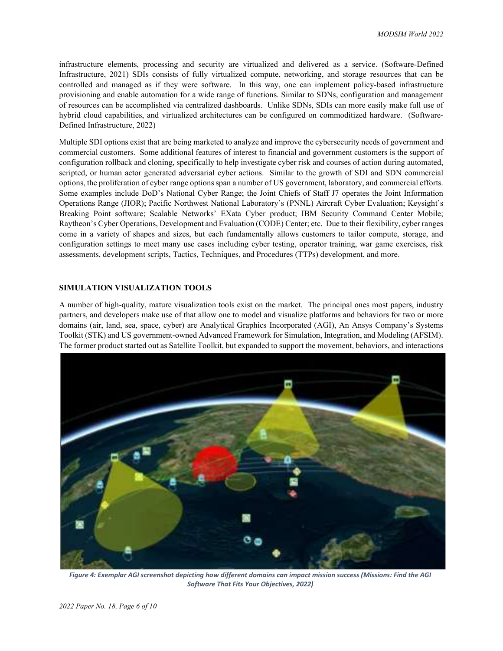infrastructure elements, processing and security are virtualized and delivered as a service. (Software-Defined Infrastructure, 2021) SDIs consists of fully virtualized compute, networking, and storage resources that can be controlled and managed as if they were software. In this way, one can implement policy-based infrastructure provisioning and enable automation for a wide range of functions. Similar to SDNs, configuration and management of resources can be accomplished via centralized dashboards. Unlike SDNs, SDIs can more easily make full use of hybrid cloud capabilities, and virtualized architectures can be configured on commoditized hardware. (Software-Defined Infrastructure, 2022)

Multiple SDI options exist that are being marketed to analyze and improve the cybersecurity needs of government and commercial customers. Some additional features of interest to financial and government customers is the support of configuration rollback and cloning, specifically to help investigate cyber risk and courses of action during automated, scripted, or human actor generated adversarial cyber actions. Similar to the growth of SDI and SDN commercial options, the proliferation of cyber range options span a number of US government, laboratory, and commercial efforts. Some examples include DoD's National Cyber Range; the Joint Chiefs of Staff J7 operates the Joint Information Operations Range (JIOR); Pacific Northwest National Laboratory's (PNNL) Aircraft Cyber Evaluation; Keysight's Breaking Point software; Scalable Networks' EXata Cyber product; IBM Security Command Center Mobile; Raytheon's Cyber Operations, Development and Evaluation (CODE) Center; etc. Due to their flexibility, cyber ranges come in a variety of shapes and sizes, but each fundamentally allows customers to tailor compute, storage, and configuration settings to meet many use cases including cyber testing, operator training, war game exercises, risk assessments, development scripts, Tactics, Techniques, and Procedures (TTPs) development, and more.

# SIMULATION VISUALIZATION TOOLS

A number of high-quality, mature visualization tools exist on the market. The principal ones most papers, industry partners, and developers make use of that allow one to model and visualize platforms and behaviors for two or more domains (air, land, sea, space, cyber) are Analytical Graphics Incorporated (AGI), An Ansys Company's Systems Toolkit (STK) and US government-owned Advanced Framework for Simulation, Integration, and Modeling (AFSIM). The former product started out as Satellite Toolkit, but expanded to support the movement, behaviors, and interactions



Figure 4: Exemplar AGI screenshot depicting how different domains can impact mission success (Missions: Find the AGI Software That Fits Your Objectives, 2022)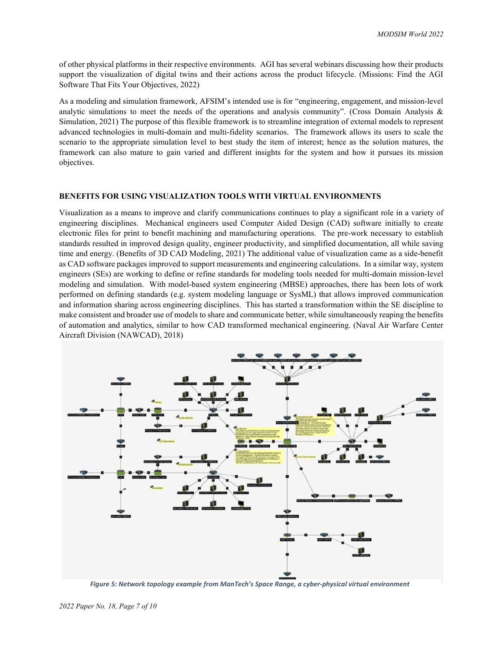of other physical platforms in their respective environments. AGI has several webinars discussing how their products support the visualization of digital twins and their actions across the product lifecycle. (Missions: Find the AGI Software That Fits Your Objectives, 2022)

As a modeling and simulation framework, AFSIM's intended use is for "engineering, engagement, and mission-level analytic simulations to meet the needs of the operations and analysis community". (Cross Domain Analysis  $\&$ Simulation, 2021) The purpose of this flexible framework is to streamline integration of external models to represent advanced technologies in multi-domain and multi-fidelity scenarios. The framework allows its users to scale the scenario to the appropriate simulation level to best study the item of interest; hence as the solution matures, the framework can also mature to gain varied and different insights for the system and how it pursues its mission objectives.

## BENEFITS FOR USING VISUALIZATION TOOLS WITH VIRTUAL ENVIRONMENTS

Visualization as a means to improve and clarify communications continues to play a significant role in a variety of engineering disciplines. Mechanical engineers used Computer Aided Design (CAD) software initially to create electronic files for print to benefit machining and manufacturing operations. The pre-work necessary to establish standards resulted in improved design quality, engineer productivity, and simplified documentation, all while saving time and energy. (Benefits of 3D CAD Modeling, 2021) The additional value of visualization came as a side-benefit as CAD software packages improved to support measurements and engineering calculations. In a similar way, system engineers (SEs) are working to define or refine standards for modeling tools needed for multi-domain mission-level modeling and simulation. With model-based system engineering (MBSE) approaches, there has been lots of work performed on defining standards (e.g. system modeling language or SysML) that allows improved communication and information sharing across engineering disciplines. This has started a transformation within the SE discipline to make consistent and broader use of models to share and communicate better, while simultaneously reaping the benefits of automation and analytics, similar to how CAD transformed mechanical engineering. (Naval Air Warfare Center Aircraft Division (NAWCAD), 2018)



Figure 5: Network topology example from ManTech's Space Range, a cyber-physical virtual environment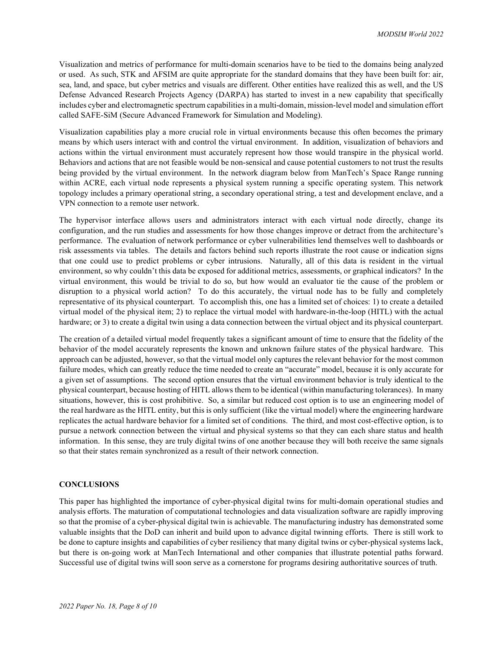Visualization and metrics of performance for multi-domain scenarios have to be tied to the domains being analyzed or used. As such, STK and AFSIM are quite appropriate for the standard domains that they have been built for: air, sea, land, and space, but cyber metrics and visuals are different. Other entities have realized this as well, and the US Defense Advanced Research Projects Agency (DARPA) has started to invest in a new capability that specifically includes cyber and electromagnetic spectrum capabilities in a multi-domain, mission-level model and simulation effort called SAFE-SiM (Secure Advanced Framework for Simulation and Modeling).

Visualization capabilities play a more crucial role in virtual environments because this often becomes the primary means by which users interact with and control the virtual environment. In addition, visualization of behaviors and actions within the virtual environment must accurately represent how those would transpire in the physical world. Behaviors and actions that are not feasible would be non-sensical and cause potential customers to not trust the results being provided by the virtual environment. In the network diagram below from ManTech's Space Range running within ACRE, each virtual node represents a physical system running a specific operating system. This network topology includes a primary operational string, a secondary operational string, a test and development enclave, and a VPN connection to a remote user network.

The hypervisor interface allows users and administrators interact with each virtual node directly, change its configuration, and the run studies and assessments for how those changes improve or detract from the architecture's performance. The evaluation of network performance or cyber vulnerabilities lend themselves well to dashboards or risk assessments via tables. The details and factors behind such reports illustrate the root cause or indication signs that one could use to predict problems or cyber intrusions. Naturally, all of this data is resident in the virtual environment, so why couldn't this data be exposed for additional metrics, assessments, or graphical indicators? In the virtual environment, this would be trivial to do so, but how would an evaluator tie the cause of the problem or disruption to a physical world action? To do this accurately, the virtual node has to be fully and completely representative of its physical counterpart. To accomplish this, one has a limited set of choices: 1) to create a detailed virtual model of the physical item; 2) to replace the virtual model with hardware-in-the-loop (HITL) with the actual hardware; or 3) to create a digital twin using a data connection between the virtual object and its physical counterpart.

The creation of a detailed virtual model frequently takes a significant amount of time to ensure that the fidelity of the behavior of the model accurately represents the known and unknown failure states of the physical hardware. This approach can be adjusted, however, so that the virtual model only captures the relevant behavior for the most common failure modes, which can greatly reduce the time needed to create an "accurate" model, because it is only accurate for a given set of assumptions. The second option ensures that the virtual environment behavior is truly identical to the physical counterpart, because hosting of HITL allows them to be identical (within manufacturing tolerances). In many situations, however, this is cost prohibitive. So, a similar but reduced cost option is to use an engineering model of the real hardware as the HITL entity, but this is only sufficient (like the virtual model) where the engineering hardware replicates the actual hardware behavior for a limited set of conditions. The third, and most cost-effective option, is to pursue a network connection between the virtual and physical systems so that they can each share status and health information. In this sense, they are truly digital twins of one another because they will both receive the same signals so that their states remain synchronized as a result of their network connection.

#### **CONCLUSIONS**

This paper has highlighted the importance of cyber-physical digital twins for multi-domain operational studies and analysis efforts. The maturation of computational technologies and data visualization software are rapidly improving so that the promise of a cyber-physical digital twin is achievable. The manufacturing industry has demonstrated some valuable insights that the DoD can inherit and build upon to advance digital twinning efforts. There is still work to be done to capture insights and capabilities of cyber resiliency that many digital twins or cyber-physical systems lack, but there is on-going work at ManTech International and other companies that illustrate potential paths forward. Successful use of digital twins will soon serve as a cornerstone for programs desiring authoritative sources of truth.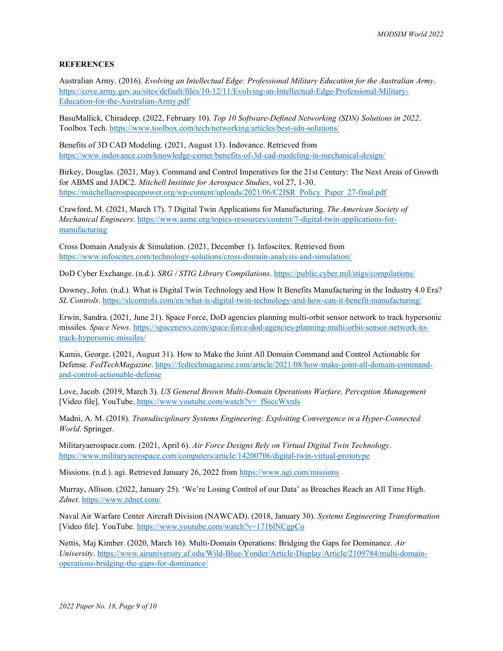## **REFERENCES**

Australian Army. (2016). Evolving an Intellectual Edge: Professional Military Education for the Australian Army. https://cove.army.gov.au/sites/default/files/10-12/11/Evolving-an-Intellectual-Edge-Professional-Military-Education-for-the-Australian-Army.pdf

BasuMallick, Chiradeep. (2022, February 10). Top 10 Software-Defined Networking (SDN) Solutions in 2022. Toolbox Tech. https://www.toolbox.com/tech/networking/articles/best-sdn-solutions/

Benefits of 3D CAD Modeling. (2021, August 13). Indovance. Retrieved from https://www.indovance.com/knowledge-center/benefits-of-3d-cad-modeling-in-mechanical-design/

Birkey, Douglas. (2021, May). Command and Control Imperatives for the 21st Century: The Next Areas of Growth for ABMS and JADC2. Mitchell Institute for Aerospace Studies, vol 27, 1-30. https://mitchellaerospacepower.org/wp-content/uploads/2021/06/C2ISR\_Policy\_Paper\_27-final.pdf

Crawford, M. (2021, March 17). 7 Digital Twin Applications for Manufacturing. The American Society of Mechanical Engineers. https://www.asme.org/topics-resources/content/7-digital-twin-applications-formanufacturing

Cross Domain Analysis & Simulation. (2021, December 1). Infoscitex. Retrieved from https://www.infoscitex.com/technology-solutions/cross-domain-analysis-and-simulation/

DoD Cyber Exchange. (n.d.). SRG / STIG Library Compilations. https://public.cyber.mil/stigs/compilations/

Downey, John. (n.d.). What is Digital Twin Technology and How It Benefits Manufacturing in the Industry 4.0 Era? SL Controls. https://slcontrols.com/en/what-is-digital-twin-technology-and-how-can-it-benefit-manufacturing/

Erwin, Sandra. (2021, June 21). Space Force, DoD agencies planning multi-orbit sensor network to track hypersonic missiles. Space News. https://spacenews.com/space-force-dod-agencies-planning-multi-orbit-sensor-network-totrack-hypersonic-missiles/

Kamis, George. (2021, August 31). How to Make the Joint All Domain Command and Control Actionable for Defense. FedTechMagazine. https://fedtechmagazine.com/article/2021/08/how-make-joint-all-domain-commandand-control-actionable-defense

Love, Jacob. (2019, March 3). US General Brown Multi-Domain Operations Warfare, Perception Management [Video file]. YouTube. https://www.youtube.com/watch?v=\_fSsccWxrds

Madni, A. M. (2018). Transdisciplinary Systems Engineering: Exploiting Convergence in a Hyper-Connected World. Springer.

Militaryaerospace.com. (2021, April 6). Air Force Designs Rely on Virtual Digital Twin Technology. https://www.militaryaerospace.com/computers/article/14200706/digital-twin-virtual-prototype

Missions. (n.d.). agi. Retrieved January 26, 2022 from https://www.agi.com/missions

Murray, Allison. (2022, January 25). 'We're Losing Control of our Data' as Breaches Reach an All Time High. Zdnet. https://www.zdnet.com/

Naval Air Warfare Center Aircraft Division (NAWCAD). (2018, January 30). Systems Engineering Transformation [Video file]. YouTube. https://www.youtube.com/watch?v=171blNCgpCo

Nettis, Maj Kimber. (2020, March 16). Multi-Domain Operations: Bridging the Gaps for Dominance. Air University. https://www.airuniversity.af.edu/Wild-Blue-Yonder/Article-Display/Article/2109784/multi-domainoperations-bridging-the-gaps-for-dominance/